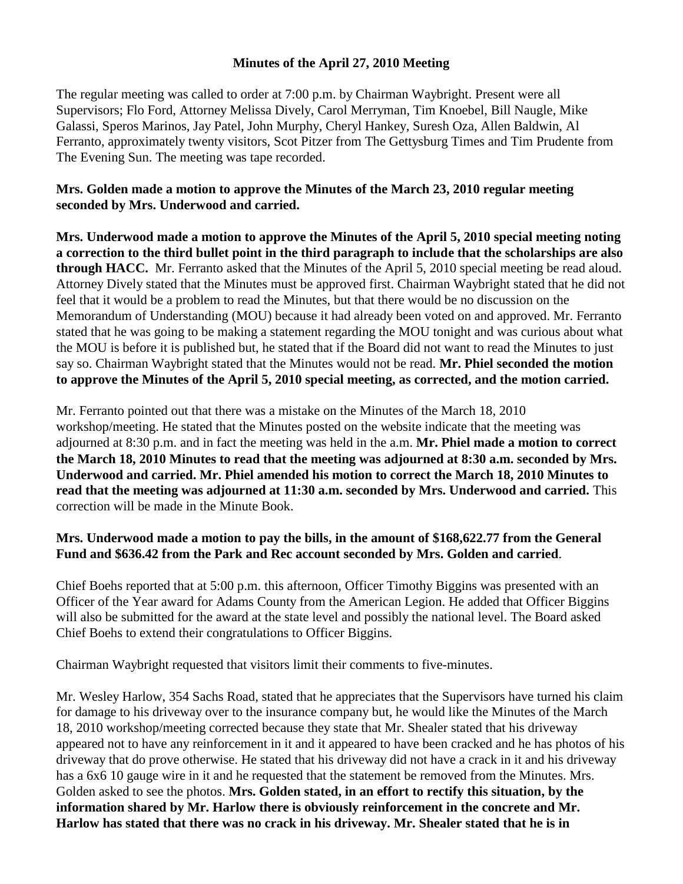### **Minutes of the April 27, 2010 Meeting**

The regular meeting was called to order at 7:00 p.m. by Chairman Waybright. Present were all Supervisors; Flo Ford, Attorney Melissa Dively, Carol Merryman, Tim Knoebel, Bill Naugle, Mike Galassi, Speros Marinos, Jay Patel, John Murphy, Cheryl Hankey, Suresh Oza, Allen Baldwin, Al Ferranto, approximately twenty visitors, Scot Pitzer from The Gettysburg Times and Tim Prudente from The Evening Sun. The meeting was tape recorded.

### **Mrs. Golden made a motion to approve the Minutes of the March 23, 2010 regular meeting seconded by Mrs. Underwood and carried.**

**Mrs. Underwood made a motion to approve the Minutes of the April 5, 2010 special meeting noting a correction to the third bullet point in the third paragraph to include that the scholarships are also through HACC.** Mr. Ferranto asked that the Minutes of the April 5, 2010 special meeting be read aloud. Attorney Dively stated that the Minutes must be approved first. Chairman Waybright stated that he did not feel that it would be a problem to read the Minutes, but that there would be no discussion on the Memorandum of Understanding (MOU) because it had already been voted on and approved. Mr. Ferranto stated that he was going to be making a statement regarding the MOU tonight and was curious about what the MOU is before it is published but, he stated that if the Board did not want to read the Minutes to just say so. Chairman Waybright stated that the Minutes would not be read. **Mr. Phiel seconded the motion to approve the Minutes of the April 5, 2010 special meeting, as corrected, and the motion carried.**

Mr. Ferranto pointed out that there was a mistake on the Minutes of the March 18, 2010 workshop/meeting. He stated that the Minutes posted on the website indicate that the meeting was adjourned at 8:30 p.m. and in fact the meeting was held in the a.m. **Mr. Phiel made a motion to correct the March 18, 2010 Minutes to read that the meeting was adjourned at 8:30 a.m. seconded by Mrs. Underwood and carried. Mr. Phiel amended his motion to correct the March 18, 2010 Minutes to read that the meeting was adjourned at 11:30 a.m. seconded by Mrs. Underwood and carried.** This correction will be made in the Minute Book.

# **Mrs. Underwood made a motion to pay the bills, in the amount of \$168,622.77 from the General Fund and \$636.42 from the Park and Rec account seconded by Mrs. Golden and carried**.

Chief Boehs reported that at 5:00 p.m. this afternoon, Officer Timothy Biggins was presented with an Officer of the Year award for Adams County from the American Legion. He added that Officer Biggins will also be submitted for the award at the state level and possibly the national level. The Board asked Chief Boehs to extend their congratulations to Officer Biggins.

Chairman Waybright requested that visitors limit their comments to five-minutes.

Mr. Wesley Harlow, 354 Sachs Road, stated that he appreciates that the Supervisors have turned his claim for damage to his driveway over to the insurance company but, he would like the Minutes of the March 18, 2010 workshop/meeting corrected because they state that Mr. Shealer stated that his driveway appeared not to have any reinforcement in it and it appeared to have been cracked and he has photos of his driveway that do prove otherwise. He stated that his driveway did not have a crack in it and his driveway has a 6x6 10 gauge wire in it and he requested that the statement be removed from the Minutes. Mrs. Golden asked to see the photos. **Mrs. Golden stated, in an effort to rectify this situation, by the information shared by Mr. Harlow there is obviously reinforcement in the concrete and Mr. Harlow has stated that there was no crack in his driveway. Mr. Shealer stated that he is in**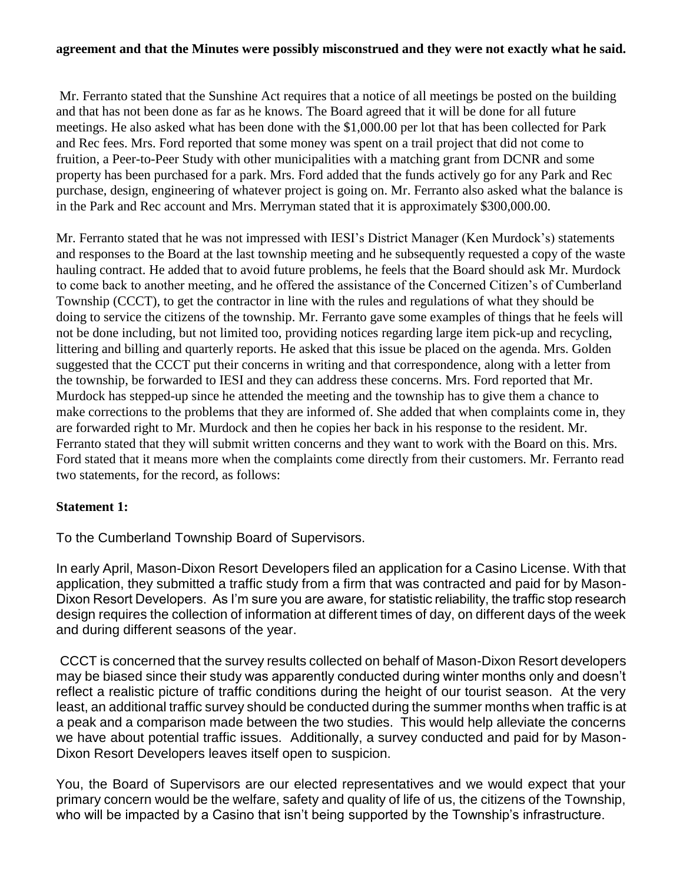#### **agreement and that the Minutes were possibly misconstrued and they were not exactly what he said.**

Mr. Ferranto stated that the Sunshine Act requires that a notice of all meetings be posted on the building and that has not been done as far as he knows. The Board agreed that it will be done for all future meetings. He also asked what has been done with the \$1,000.00 per lot that has been collected for Park and Rec fees. Mrs. Ford reported that some money was spent on a trail project that did not come to fruition, a Peer-to-Peer Study with other municipalities with a matching grant from DCNR and some property has been purchased for a park. Mrs. Ford added that the funds actively go for any Park and Rec purchase, design, engineering of whatever project is going on. Mr. Ferranto also asked what the balance is in the Park and Rec account and Mrs. Merryman stated that it is approximately \$300,000.00.

Mr. Ferranto stated that he was not impressed with IESI's District Manager (Ken Murdock's) statements and responses to the Board at the last township meeting and he subsequently requested a copy of the waste hauling contract. He added that to avoid future problems, he feels that the Board should ask Mr. Murdock to come back to another meeting, and he offered the assistance of the Concerned Citizen's of Cumberland Township (CCCT), to get the contractor in line with the rules and regulations of what they should be doing to service the citizens of the township. Mr. Ferranto gave some examples of things that he feels will not be done including, but not limited too, providing notices regarding large item pick-up and recycling, littering and billing and quarterly reports. He asked that this issue be placed on the agenda. Mrs. Golden suggested that the CCCT put their concerns in writing and that correspondence, along with a letter from the township, be forwarded to IESI and they can address these concerns. Mrs. Ford reported that Mr. Murdock has stepped-up since he attended the meeting and the township has to give them a chance to make corrections to the problems that they are informed of. She added that when complaints come in, they are forwarded right to Mr. Murdock and then he copies her back in his response to the resident. Mr. Ferranto stated that they will submit written concerns and they want to work with the Board on this. Mrs. Ford stated that it means more when the complaints come directly from their customers. Mr. Ferranto read two statements, for the record, as follows:

# **Statement 1:**

To the Cumberland Township Board of Supervisors.

In early April, Mason-Dixon Resort Developers filed an application for a Casino License. With that application, they submitted a traffic study from a firm that was contracted and paid for by Mason-Dixon Resort Developers. As I'm sure you are aware, for statistic reliability, the traffic stop research design requires the collection of information at different times of day, on different days of the week and during different seasons of the year.

CCCT is concerned that the survey results collected on behalf of Mason-Dixon Resort developers may be biased since their study was apparently conducted during winter months only and doesn't reflect a realistic picture of traffic conditions during the height of our tourist season. At the very least, an additional traffic survey should be conducted during the summer months when traffic is at a peak and a comparison made between the two studies. This would help alleviate the concerns we have about potential traffic issues. Additionally, a survey conducted and paid for by Mason-Dixon Resort Developers leaves itself open to suspicion.

You, the Board of Supervisors are our elected representatives and we would expect that your primary concern would be the welfare, safety and quality of life of us, the citizens of the Township, who will be impacted by a Casino that isn't being supported by the Township's infrastructure.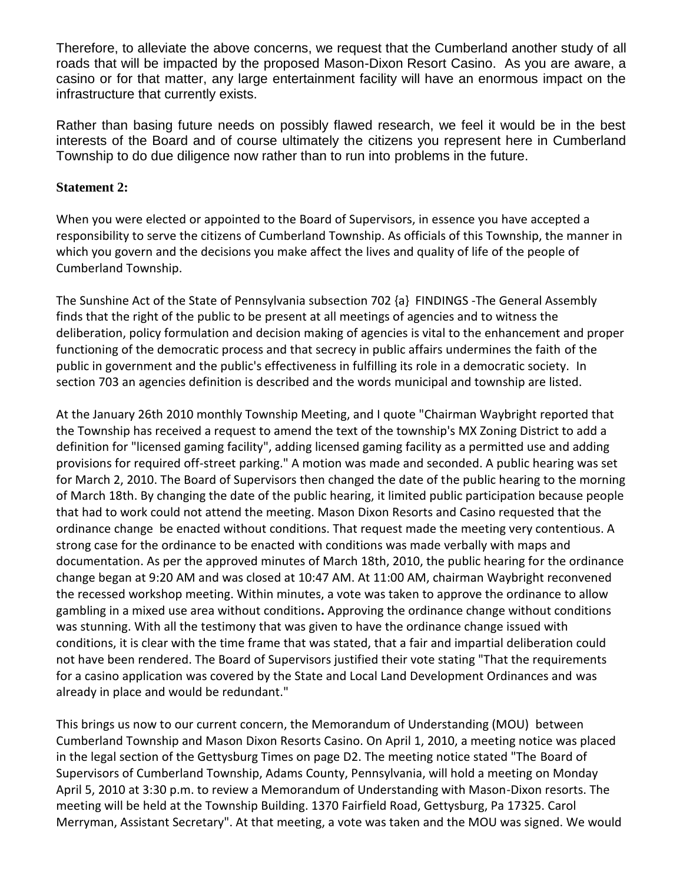Therefore, to alleviate the above concerns, we request that the Cumberland another study of all roads that will be impacted by the proposed Mason-Dixon Resort Casino. As you are aware, a casino or for that matter, any large entertainment facility will have an enormous impact on the infrastructure that currently exists.

Rather than basing future needs on possibly flawed research, we feel it would be in the best interests of the Board and of course ultimately the citizens you represent here in Cumberland Township to do due diligence now rather than to run into problems in the future.

### **Statement 2:**

When you were elected or appointed to the Board of Supervisors, in essence you have accepted a responsibility to serve the citizens of Cumberland Township. As officials of this Township, the manner in which you govern and the decisions you make affect the lives and quality of life of the people of Cumberland Township.

The Sunshine Act of the State of Pennsylvania subsection 702 {a} FINDINGS -The General Assembly finds that the right of the public to be present at all meetings of agencies and to witness the deliberation, policy formulation and decision making of agencies is vital to the enhancement and proper functioning of the democratic process and that secrecy in public affairs undermines the faith of the public in government and the public's effectiveness in fulfilling its role in a democratic society. In section 703 an agencies definition is described and the words municipal and township are listed.

At the January 26th 2010 monthly Township Meeting, and I quote "Chairman Waybright reported that the Township has received a request to amend the text of the township's MX Zoning District to add a definition for "licensed gaming facility", adding licensed gaming facility as a permitted use and adding provisions for required off-street parking." A motion was made and seconded. A public hearing was set for March 2, 2010. The Board of Supervisors then changed the date of the public hearing to the morning of March 18th. By changing the date of the public hearing, it limited public participation because people that had to work could not attend the meeting. Mason Dixon Resorts and Casino requested that the ordinance change be enacted without conditions. That request made the meeting very contentious. A strong case for the ordinance to be enacted with conditions was made verbally with maps and documentation. As per the approved minutes of March 18th, 2010, the public hearing for the ordinance change began at 9:20 AM and was closed at 10:47 AM. At 11:00 AM, chairman Waybright reconvened the recessed workshop meeting. Within minutes, a vote was taken to approve the ordinance to allow gambling in a mixed use area without conditions**.** Approving the ordinance change without conditions was stunning. With all the testimony that was given to have the ordinance change issued with conditions, it is clear with the time frame that was stated, that a fair and impartial deliberation could not have been rendered. The Board of Supervisors justified their vote stating "That the requirements for a casino application was covered by the State and Local Land Development Ordinances and was already in place and would be redundant."

This brings us now to our current concern, the Memorandum of Understanding (MOU) between Cumberland Township and Mason Dixon Resorts Casino. On April 1, 2010, a meeting notice was placed in the legal section of the Gettysburg Times on page D2. The meeting notice stated "The Board of Supervisors of Cumberland Township, Adams County, Pennsylvania, will hold a meeting on Monday April 5, 2010 at 3:30 p.m. to review a Memorandum of Understanding with Mason-Dixon resorts. The meeting will be held at the Township Building. 1370 Fairfield Road, Gettysburg, Pa 17325. Carol Merryman, Assistant Secretary". At that meeting, a vote was taken and the MOU was signed. We would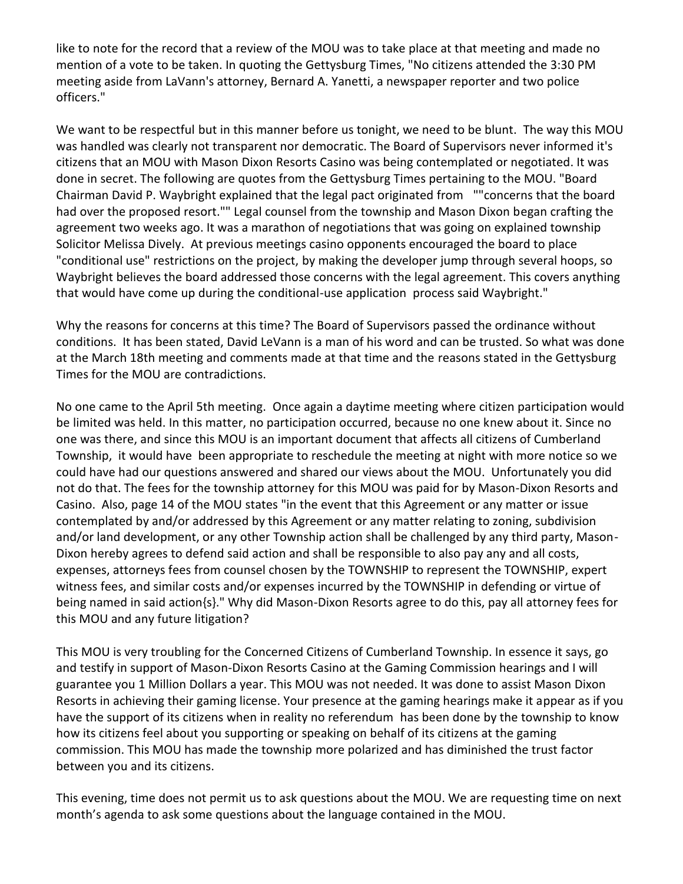like to note for the record that a review of the MOU was to take place at that meeting and made no mention of a vote to be taken. In quoting the Gettysburg Times, "No citizens attended the 3:30 PM meeting aside from LaVann's attorney, Bernard A. Yanetti, a newspaper reporter and two police officers."

We want to be respectful but in this manner before us tonight, we need to be blunt. The way this MOU was handled was clearly not transparent nor democratic. The Board of Supervisors never informed it's citizens that an MOU with Mason Dixon Resorts Casino was being contemplated or negotiated. It was done in secret. The following are quotes from the Gettysburg Times pertaining to the MOU. "Board Chairman David P. Waybright explained that the legal pact originated from ""concerns that the board had over the proposed resort."" Legal counsel from the township and Mason Dixon began crafting the agreement two weeks ago. It was a marathon of negotiations that was going on explained township Solicitor Melissa Dively. At previous meetings casino opponents encouraged the board to place "conditional use" restrictions on the project, by making the developer jump through several hoops, so Waybright believes the board addressed those concerns with the legal agreement. This covers anything that would have come up during the conditional-use application process said Waybright."

Why the reasons for concerns at this time? The Board of Supervisors passed the ordinance without conditions. It has been stated, David LeVann is a man of his word and can be trusted. So what was done at the March 18th meeting and comments made at that time and the reasons stated in the Gettysburg Times for the MOU are contradictions.

No one came to the April 5th meeting. Once again a daytime meeting where citizen participation would be limited was held. In this matter, no participation occurred, because no one knew about it. Since no one was there, and since this MOU is an important document that affects all citizens of Cumberland Township, it would have been appropriate to reschedule the meeting at night with more notice so we could have had our questions answered and shared our views about the MOU. Unfortunately you did not do that. The fees for the township attorney for this MOU was paid for by Mason-Dixon Resorts and Casino. Also, page 14 of the MOU states "in the event that this Agreement or any matter or issue contemplated by and/or addressed by this Agreement or any matter relating to zoning, subdivision and/or land development, or any other Township action shall be challenged by any third party, Mason-Dixon hereby agrees to defend said action and shall be responsible to also pay any and all costs, expenses, attorneys fees from counsel chosen by the TOWNSHIP to represent the TOWNSHIP, expert witness fees, and similar costs and/or expenses incurred by the TOWNSHIP in defending or virtue of being named in said action{s}." Why did Mason-Dixon Resorts agree to do this, pay all attorney fees for this MOU and any future litigation?

This MOU is very troubling for the Concerned Citizens of Cumberland Township. In essence it says, go and testify in support of Mason-Dixon Resorts Casino at the Gaming Commission hearings and I will guarantee you 1 Million Dollars a year. This MOU was not needed. It was done to assist Mason Dixon Resorts in achieving their gaming license. Your presence at the gaming hearings make it appear as if you have the support of its citizens when in reality no referendum has been done by the township to know how its citizens feel about you supporting or speaking on behalf of its citizens at the gaming commission. This MOU has made the township more polarized and has diminished the trust factor between you and its citizens.

This evening, time does not permit us to ask questions about the MOU. We are requesting time on next month's agenda to ask some questions about the language contained in the MOU.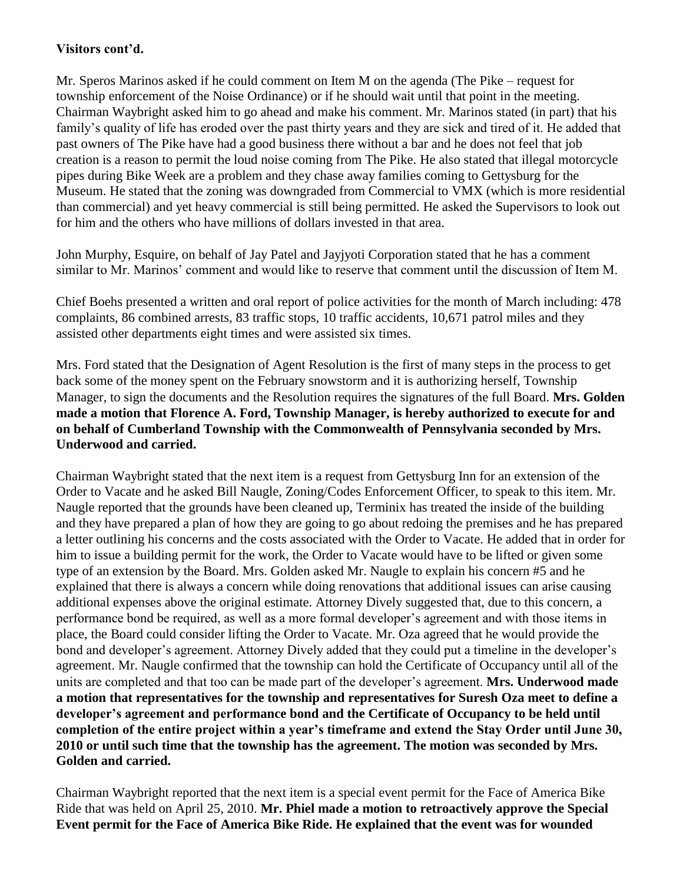# **Visitors cont'd.**

Mr. Speros Marinos asked if he could comment on Item M on the agenda (The Pike – request for township enforcement of the Noise Ordinance) or if he should wait until that point in the meeting. Chairman Waybright asked him to go ahead and make his comment. Mr. Marinos stated (in part) that his family's quality of life has eroded over the past thirty years and they are sick and tired of it. He added that past owners of The Pike have had a good business there without a bar and he does not feel that job creation is a reason to permit the loud noise coming from The Pike. He also stated that illegal motorcycle pipes during Bike Week are a problem and they chase away families coming to Gettysburg for the Museum. He stated that the zoning was downgraded from Commercial to VMX (which is more residential than commercial) and yet heavy commercial is still being permitted. He asked the Supervisors to look out for him and the others who have millions of dollars invested in that area.

John Murphy, Esquire, on behalf of Jay Patel and Jayjyoti Corporation stated that he has a comment similar to Mr. Marinos' comment and would like to reserve that comment until the discussion of Item M.

Chief Boehs presented a written and oral report of police activities for the month of March including: 478 complaints, 86 combined arrests, 83 traffic stops, 10 traffic accidents, 10,671 patrol miles and they assisted other departments eight times and were assisted six times.

Mrs. Ford stated that the Designation of Agent Resolution is the first of many steps in the process to get back some of the money spent on the February snowstorm and it is authorizing herself, Township Manager, to sign the documents and the Resolution requires the signatures of the full Board. **Mrs. Golden made a motion that Florence A. Ford, Township Manager, is hereby authorized to execute for and on behalf of Cumberland Township with the Commonwealth of Pennsylvania seconded by Mrs. Underwood and carried.**

Chairman Waybright stated that the next item is a request from Gettysburg Inn for an extension of the Order to Vacate and he asked Bill Naugle, Zoning/Codes Enforcement Officer, to speak to this item. Mr. Naugle reported that the grounds have been cleaned up, Terminix has treated the inside of the building and they have prepared a plan of how they are going to go about redoing the premises and he has prepared a letter outlining his concerns and the costs associated with the Order to Vacate. He added that in order for him to issue a building permit for the work, the Order to Vacate would have to be lifted or given some type of an extension by the Board. Mrs. Golden asked Mr. Naugle to explain his concern #5 and he explained that there is always a concern while doing renovations that additional issues can arise causing additional expenses above the original estimate. Attorney Dively suggested that, due to this concern, a performance bond be required, as well as a more formal developer's agreement and with those items in place, the Board could consider lifting the Order to Vacate. Mr. Oza agreed that he would provide the bond and developer's agreement. Attorney Dively added that they could put a timeline in the developer's agreement. Mr. Naugle confirmed that the township can hold the Certificate of Occupancy until all of the units are completed and that too can be made part of the developer's agreement. **Mrs. Underwood made a motion that representatives for the township and representatives for Suresh Oza meet to define a developer's agreement and performance bond and the Certificate of Occupancy to be held until completion of the entire project within a year's timeframe and extend the Stay Order until June 30, 2010 or until such time that the township has the agreement. The motion was seconded by Mrs. Golden and carried.**

Chairman Waybright reported that the next item is a special event permit for the Face of America Bike Ride that was held on April 25, 2010. **Mr. Phiel made a motion to retroactively approve the Special Event permit for the Face of America Bike Ride. He explained that the event was for wounded**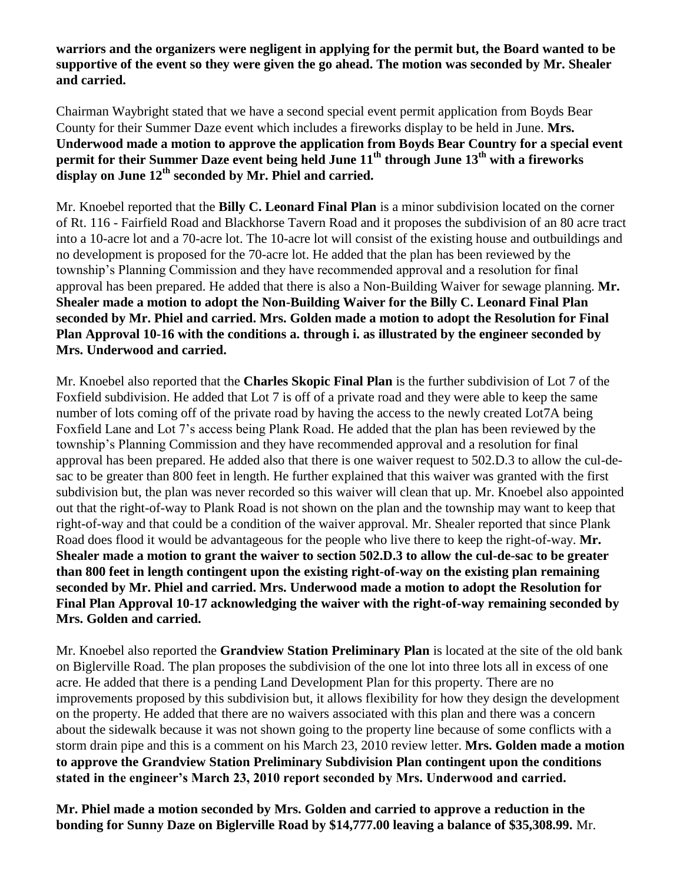**warriors and the organizers were negligent in applying for the permit but, the Board wanted to be supportive of the event so they were given the go ahead. The motion was seconded by Mr. Shealer and carried.**

Chairman Waybright stated that we have a second special event permit application from Boyds Bear County for their Summer Daze event which includes a fireworks display to be held in June. **Mrs. Underwood made a motion to approve the application from Boyds Bear Country for a special event permit for their Summer Daze event being held June 11th through June 13th with a fireworks display on June 12th seconded by Mr. Phiel and carried.** 

Mr. Knoebel reported that the **Billy C. Leonard Final Plan** is a minor subdivision located on the corner of Rt. 116 - Fairfield Road and Blackhorse Tavern Road and it proposes the subdivision of an 80 acre tract into a 10-acre lot and a 70-acre lot. The 10-acre lot will consist of the existing house and outbuildings and no development is proposed for the 70-acre lot. He added that the plan has been reviewed by the township's Planning Commission and they have recommended approval and a resolution for final approval has been prepared. He added that there is also a Non-Building Waiver for sewage planning. **Mr. Shealer made a motion to adopt the Non-Building Waiver for the Billy C. Leonard Final Plan seconded by Mr. Phiel and carried. Mrs. Golden made a motion to adopt the Resolution for Final Plan Approval 10-16 with the conditions a. through i. as illustrated by the engineer seconded by Mrs. Underwood and carried.**

Mr. Knoebel also reported that the **Charles Skopic Final Plan** is the further subdivision of Lot 7 of the Foxfield subdivision. He added that Lot 7 is off of a private road and they were able to keep the same number of lots coming off of the private road by having the access to the newly created Lot7A being Foxfield Lane and Lot 7's access being Plank Road. He added that the plan has been reviewed by the township's Planning Commission and they have recommended approval and a resolution for final approval has been prepared. He added also that there is one waiver request to 502.D.3 to allow the cul-desac to be greater than 800 feet in length. He further explained that this waiver was granted with the first subdivision but, the plan was never recorded so this waiver will clean that up. Mr. Knoebel also appointed out that the right-of-way to Plank Road is not shown on the plan and the township may want to keep that right-of-way and that could be a condition of the waiver approval. Mr. Shealer reported that since Plank Road does flood it would be advantageous for the people who live there to keep the right-of-way. **Mr. Shealer made a motion to grant the waiver to section 502.D.3 to allow the cul-de-sac to be greater than 800 feet in length contingent upon the existing right-of-way on the existing plan remaining seconded by Mr. Phiel and carried. Mrs. Underwood made a motion to adopt the Resolution for Final Plan Approval 10-17 acknowledging the waiver with the right-of-way remaining seconded by Mrs. Golden and carried.**

Mr. Knoebel also reported the **Grandview Station Preliminary Plan** is located at the site of the old bank on Biglerville Road. The plan proposes the subdivision of the one lot into three lots all in excess of one acre. He added that there is a pending Land Development Plan for this property. There are no improvements proposed by this subdivision but, it allows flexibility for how they design the development on the property. He added that there are no waivers associated with this plan and there was a concern about the sidewalk because it was not shown going to the property line because of some conflicts with a storm drain pipe and this is a comment on his March 23, 2010 review letter. **Mrs. Golden made a motion to approve the Grandview Station Preliminary Subdivision Plan contingent upon the conditions stated in the engineer's March 23, 2010 report seconded by Mrs. Underwood and carried.** 

**Mr. Phiel made a motion seconded by Mrs. Golden and carried to approve a reduction in the bonding for Sunny Daze on Biglerville Road by \$14,777.00 leaving a balance of \$35,308.99.** Mr.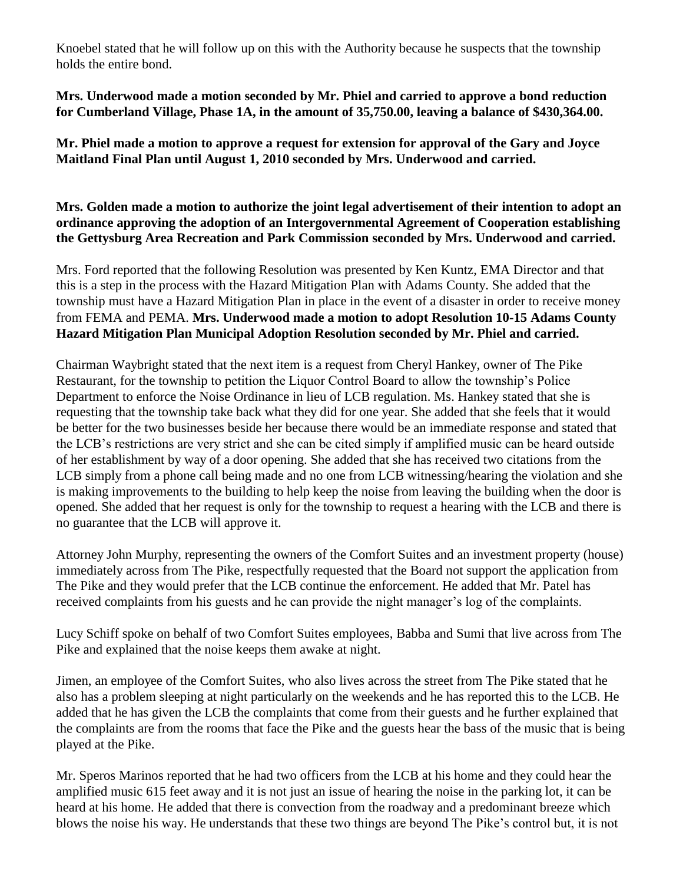Knoebel stated that he will follow up on this with the Authority because he suspects that the township holds the entire bond.

**Mrs. Underwood made a motion seconded by Mr. Phiel and carried to approve a bond reduction for Cumberland Village, Phase 1A, in the amount of 35,750.00, leaving a balance of \$430,364.00.** 

**Mr. Phiel made a motion to approve a request for extension for approval of the Gary and Joyce Maitland Final Plan until August 1, 2010 seconded by Mrs. Underwood and carried.**

**Mrs. Golden made a motion to authorize the joint legal advertisement of their intention to adopt an ordinance approving the adoption of an Intergovernmental Agreement of Cooperation establishing the Gettysburg Area Recreation and Park Commission seconded by Mrs. Underwood and carried.**

Mrs. Ford reported that the following Resolution was presented by Ken Kuntz, EMA Director and that this is a step in the process with the Hazard Mitigation Plan with Adams County. She added that the township must have a Hazard Mitigation Plan in place in the event of a disaster in order to receive money from FEMA and PEMA. **Mrs. Underwood made a motion to adopt Resolution 10-15 Adams County Hazard Mitigation Plan Municipal Adoption Resolution seconded by Mr. Phiel and carried.**

Chairman Waybright stated that the next item is a request from Cheryl Hankey, owner of The Pike Restaurant, for the township to petition the Liquor Control Board to allow the township's Police Department to enforce the Noise Ordinance in lieu of LCB regulation. Ms. Hankey stated that she is requesting that the township take back what they did for one year. She added that she feels that it would be better for the two businesses beside her because there would be an immediate response and stated that the LCB's restrictions are very strict and she can be cited simply if amplified music can be heard outside of her establishment by way of a door opening. She added that she has received two citations from the LCB simply from a phone call being made and no one from LCB witnessing/hearing the violation and she is making improvements to the building to help keep the noise from leaving the building when the door is opened. She added that her request is only for the township to request a hearing with the LCB and there is no guarantee that the LCB will approve it.

Attorney John Murphy, representing the owners of the Comfort Suites and an investment property (house) immediately across from The Pike, respectfully requested that the Board not support the application from The Pike and they would prefer that the LCB continue the enforcement. He added that Mr. Patel has received complaints from his guests and he can provide the night manager's log of the complaints.

Lucy Schiff spoke on behalf of two Comfort Suites employees, Babba and Sumi that live across from The Pike and explained that the noise keeps them awake at night.

Jimen, an employee of the Comfort Suites, who also lives across the street from The Pike stated that he also has a problem sleeping at night particularly on the weekends and he has reported this to the LCB. He added that he has given the LCB the complaints that come from their guests and he further explained that the complaints are from the rooms that face the Pike and the guests hear the bass of the music that is being played at the Pike.

Mr. Speros Marinos reported that he had two officers from the LCB at his home and they could hear the amplified music 615 feet away and it is not just an issue of hearing the noise in the parking lot, it can be heard at his home. He added that there is convection from the roadway and a predominant breeze which blows the noise his way. He understands that these two things are beyond The Pike's control but, it is not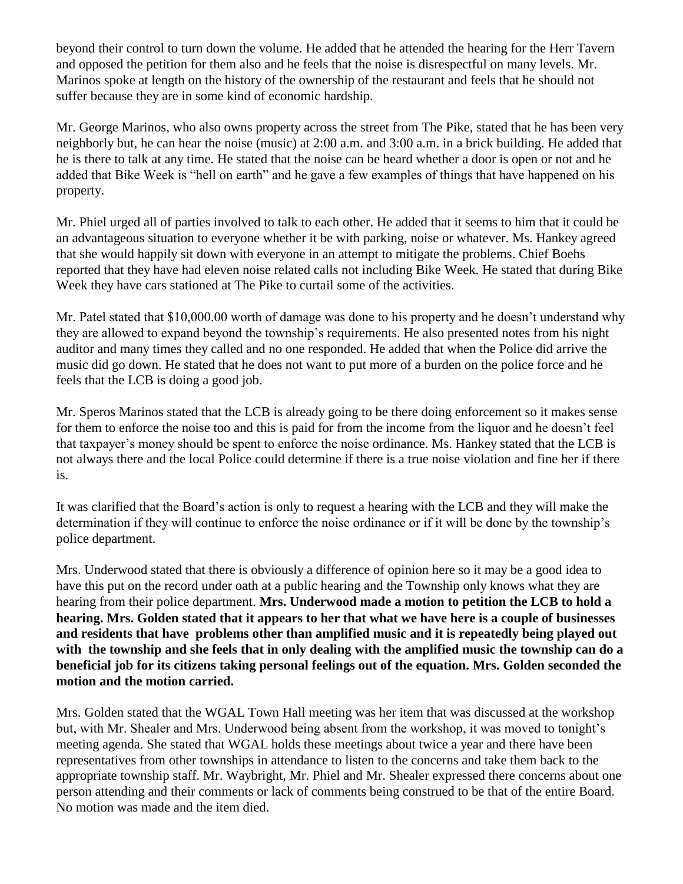beyond their control to turn down the volume. He added that he attended the hearing for the Herr Tavern and opposed the petition for them also and he feels that the noise is disrespectful on many levels. Mr. Marinos spoke at length on the history of the ownership of the restaurant and feels that he should not suffer because they are in some kind of economic hardship.

Mr. George Marinos, who also owns property across the street from The Pike, stated that he has been very neighborly but, he can hear the noise (music) at 2:00 a.m. and 3:00 a.m. in a brick building. He added that he is there to talk at any time. He stated that the noise can be heard whether a door is open or not and he added that Bike Week is "hell on earth" and he gave a few examples of things that have happened on his property.

Mr. Phiel urged all of parties involved to talk to each other. He added that it seems to him that it could be an advantageous situation to everyone whether it be with parking, noise or whatever. Ms. Hankey agreed that she would happily sit down with everyone in an attempt to mitigate the problems. Chief Boehs reported that they have had eleven noise related calls not including Bike Week. He stated that during Bike Week they have cars stationed at The Pike to curtail some of the activities.

Mr. Patel stated that \$10,000.00 worth of damage was done to his property and he doesn't understand why they are allowed to expand beyond the township's requirements. He also presented notes from his night auditor and many times they called and no one responded. He added that when the Police did arrive the music did go down. He stated that he does not want to put more of a burden on the police force and he feels that the LCB is doing a good job.

Mr. Speros Marinos stated that the LCB is already going to be there doing enforcement so it makes sense for them to enforce the noise too and this is paid for from the income from the liquor and he doesn't feel that taxpayer's money should be spent to enforce the noise ordinance. Ms. Hankey stated that the LCB is not always there and the local Police could determine if there is a true noise violation and fine her if there is.

It was clarified that the Board's action is only to request a hearing with the LCB and they will make the determination if they will continue to enforce the noise ordinance or if it will be done by the township's police department.

Mrs. Underwood stated that there is obviously a difference of opinion here so it may be a good idea to have this put on the record under oath at a public hearing and the Township only knows what they are hearing from their police department. **Mrs. Underwood made a motion to petition the LCB to hold a hearing. Mrs. Golden stated that it appears to her that what we have here is a couple of businesses and residents that have problems other than amplified music and it is repeatedly being played out with the township and she feels that in only dealing with the amplified music the township can do a beneficial job for its citizens taking personal feelings out of the equation. Mrs. Golden seconded the motion and the motion carried.**

Mrs. Golden stated that the WGAL Town Hall meeting was her item that was discussed at the workshop but, with Mr. Shealer and Mrs. Underwood being absent from the workshop, it was moved to tonight's meeting agenda. She stated that WGAL holds these meetings about twice a year and there have been representatives from other townships in attendance to listen to the concerns and take them back to the appropriate township staff. Mr. Waybright, Mr. Phiel and Mr. Shealer expressed there concerns about one person attending and their comments or lack of comments being construed to be that of the entire Board. No motion was made and the item died.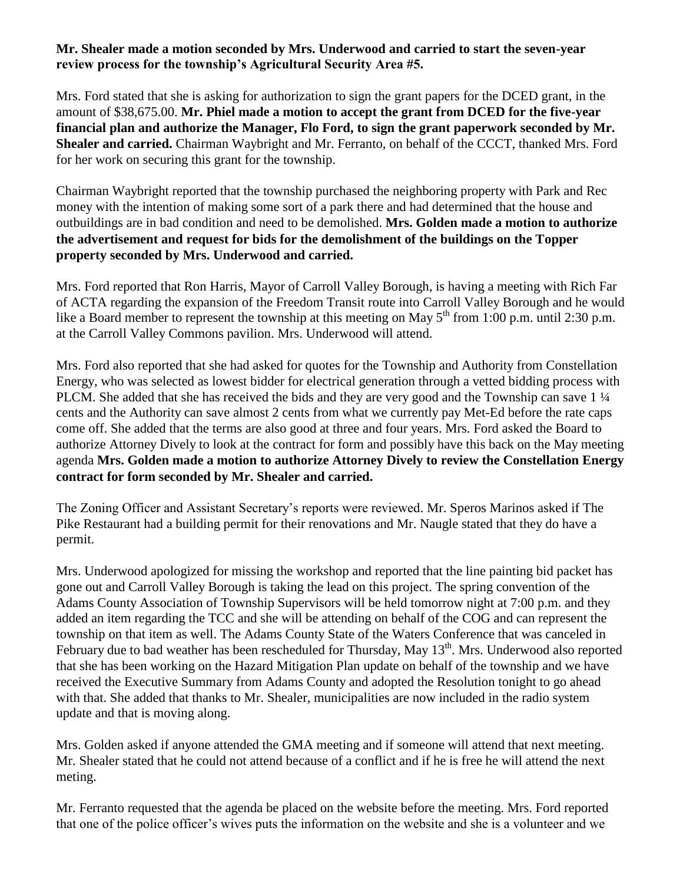# **Mr. Shealer made a motion seconded by Mrs. Underwood and carried to start the seven-year review process for the township's Agricultural Security Area #5.**

Mrs. Ford stated that she is asking for authorization to sign the grant papers for the DCED grant, in the amount of \$38,675.00. **Mr. Phiel made a motion to accept the grant from DCED for the five-year financial plan and authorize the Manager, Flo Ford, to sign the grant paperwork seconded by Mr. Shealer and carried.** Chairman Waybright and Mr. Ferranto, on behalf of the CCCT, thanked Mrs. Ford for her work on securing this grant for the township.

Chairman Waybright reported that the township purchased the neighboring property with Park and Rec money with the intention of making some sort of a park there and had determined that the house and outbuildings are in bad condition and need to be demolished. **Mrs. Golden made a motion to authorize the advertisement and request for bids for the demolishment of the buildings on the Topper property seconded by Mrs. Underwood and carried.**

Mrs. Ford reported that Ron Harris, Mayor of Carroll Valley Borough, is having a meeting with Rich Far of ACTA regarding the expansion of the Freedom Transit route into Carroll Valley Borough and he would like a Board member to represent the township at this meeting on May  $5<sup>th</sup>$  from 1:00 p.m. until 2:30 p.m. at the Carroll Valley Commons pavilion. Mrs. Underwood will attend.

Mrs. Ford also reported that she had asked for quotes for the Township and Authority from Constellation Energy, who was selected as lowest bidder for electrical generation through a vetted bidding process with PLCM. She added that she has received the bids and they are very good and the Township can save 1  $\frac{1}{4}$ cents and the Authority can save almost 2 cents from what we currently pay Met-Ed before the rate caps come off. She added that the terms are also good at three and four years. Mrs. Ford asked the Board to authorize Attorney Dively to look at the contract for form and possibly have this back on the May meeting agenda **Mrs. Golden made a motion to authorize Attorney Dively to review the Constellation Energy contract for form seconded by Mr. Shealer and carried.**

The Zoning Officer and Assistant Secretary's reports were reviewed. Mr. Speros Marinos asked if The Pike Restaurant had a building permit for their renovations and Mr. Naugle stated that they do have a permit.

Mrs. Underwood apologized for missing the workshop and reported that the line painting bid packet has gone out and Carroll Valley Borough is taking the lead on this project. The spring convention of the Adams County Association of Township Supervisors will be held tomorrow night at 7:00 p.m. and they added an item regarding the TCC and she will be attending on behalf of the COG and can represent the township on that item as well. The Adams County State of the Waters Conference that was canceled in February due to bad weather has been rescheduled for Thursday, May 13<sup>th</sup>. Mrs. Underwood also reported that she has been working on the Hazard Mitigation Plan update on behalf of the township and we have received the Executive Summary from Adams County and adopted the Resolution tonight to go ahead with that. She added that thanks to Mr. Shealer, municipalities are now included in the radio system update and that is moving along.

Mrs. Golden asked if anyone attended the GMA meeting and if someone will attend that next meeting. Mr. Shealer stated that he could not attend because of a conflict and if he is free he will attend the next meting.

Mr. Ferranto requested that the agenda be placed on the website before the meeting. Mrs. Ford reported that one of the police officer's wives puts the information on the website and she is a volunteer and we